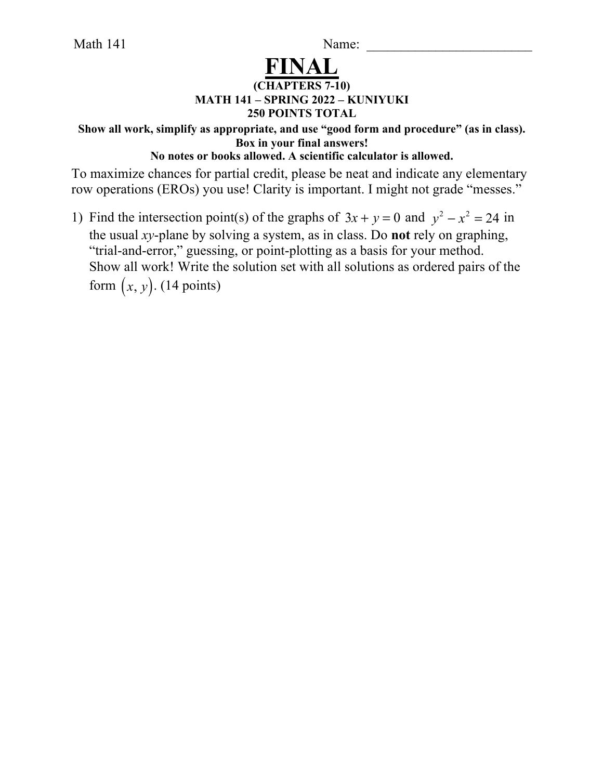Math 141 Name: \_\_\_\_\_\_\_\_\_\_\_\_\_\_\_\_\_\_\_\_\_\_\_\_

## **FINAL**

## **(CHAPTERS 7-10) MATH 141 – SPRING 2022 – KUNIYUKI 250 POINTS TOTAL**

**Show all work, simplify as appropriate, and use "good form and procedure" (as in class). Box in your final answers!** 

**No notes or books allowed. A scientific calculator is allowed.**

To maximize chances for partial credit, please be neat and indicate any elementary row operations (EROs) you use! Clarity is important. I might not grade "messes."

1) Find the intersection point(s) of the graphs of  $3x + y = 0$  and  $y^2 - x^2 = 24$  in the usual *xy*-plane by solving a system, as in class. Do **not** rely on graphing, "trial-and-error," guessing, or point-plotting as a basis for your method. Show all work! Write the solution set with all solutions as ordered pairs of the form  $(x, y)$ . (14 points)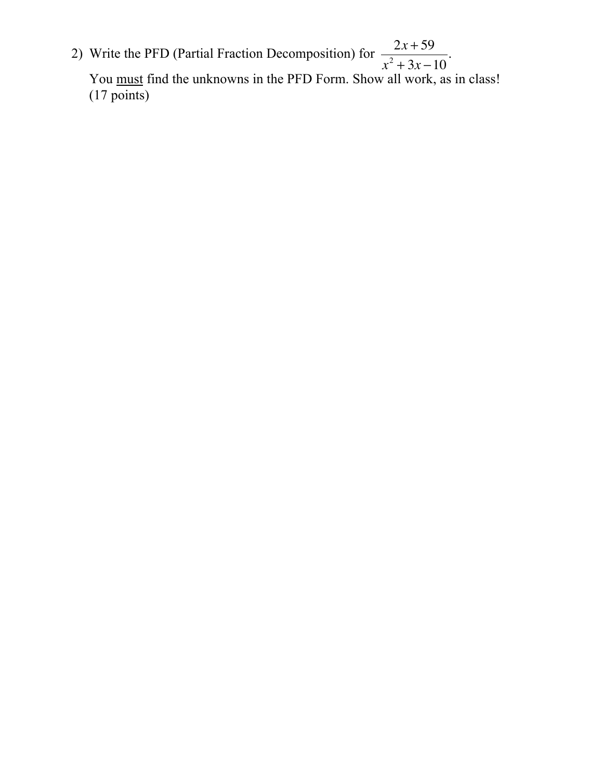2) Write the PFD (Partial Fraction Decomposition) for  $\frac{2x+59}{x^2-2x+59}$ . You must find the unknowns in the PFD Form. Show all work, as in class! (17 points)  $x^2 + 3x - 10$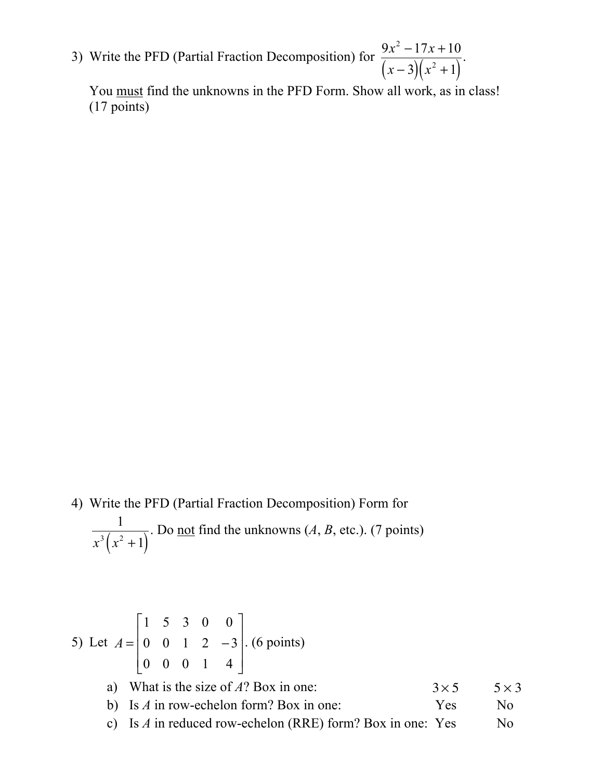3) Write the PFD (Partial Fraction Decomposition) for  $\frac{3x-17x+10}{x-16}$ .  $9x^2 - 17x + 10$  $(x-3)(x^2+1)$ 

You must find the unknowns in the PFD Form. Show all work, as in class! (17 points)

4) Write the PFD (Partial Fraction Decomposition) Form for . Do <u>not</u> find the unknowns  $(A, B, \text{ etc.})$ . (7 points) 1  $x^3(x^2+1)$ 

5) Let 
$$
A = \begin{bmatrix} 1 & 5 & 3 & 0 & 0 \\ 0 & 0 & 1 & 2 & -3 \\ 0 & 0 & 0 & 1 & 4 \end{bmatrix}
$$
. (6 points)  
\na) What is the size of A? Box in one:  
\nb) Is A in row-echelon form? Box in one:  $3 \times 5$  5 × 3  
\nc) Is A in reduced row-echelon (RRE) form? Box in one: Yes No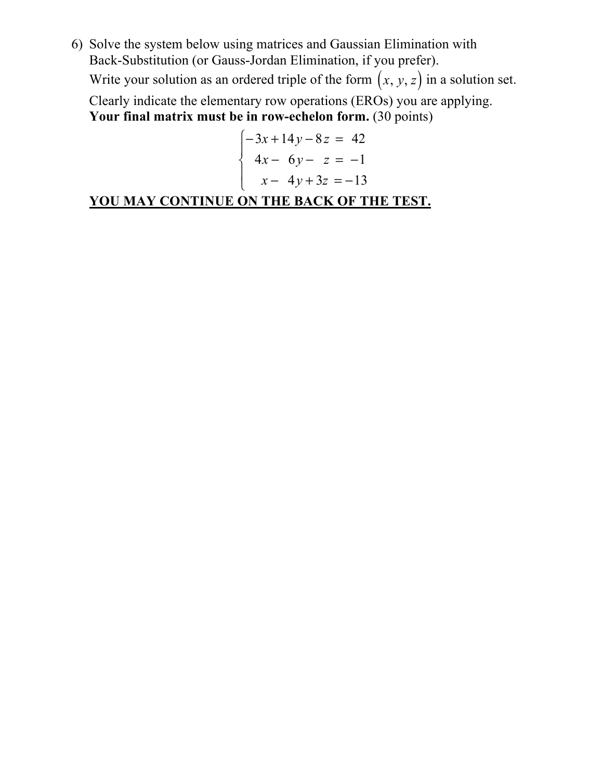6) Solve the system below using matrices and Gaussian Elimination with Back-Substitution (or Gauss-Jordan Elimination, if you prefer). Write your solution as an ordered triple of the form  $(x, y, z)$  in a solution set.

Clearly indicate the elementary row operations (EROs) you are applying. **Your final matrix must be in row-echelon form.** (30 points)

$$
\begin{cases}\n-3x + 14y - 8z &= 42 \\
4x - 6y - z &= -1 \\
x - 4y + 3z &= -13\n\end{cases}
$$

**YOU MAY CONTINUE ON THE BACK OF THE TEST.**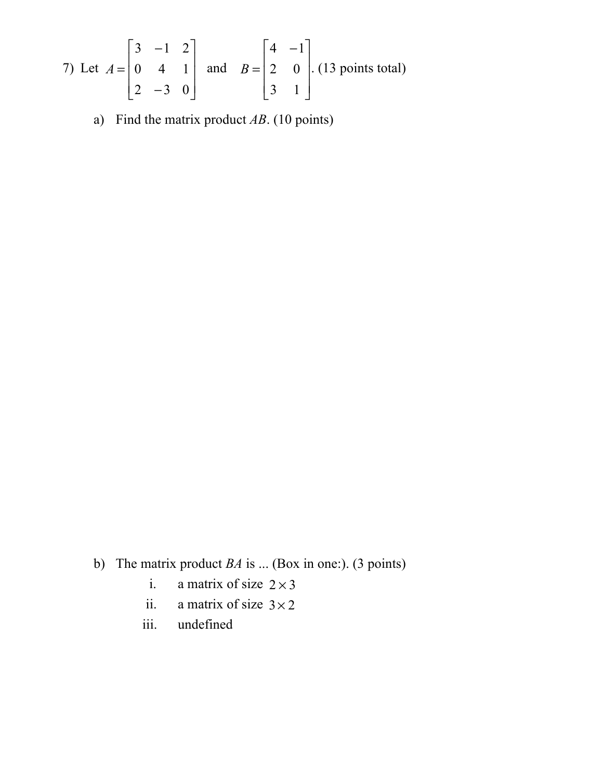7) Let 
$$
A = \begin{bmatrix} 3 & -1 & 2 \\ 0 & 4 & 1 \\ 2 & -3 & 0 \end{bmatrix}
$$
 and  $B = \begin{bmatrix} 4 & -1 \\ 2 & 0 \\ 3 & 1 \end{bmatrix}$ . (13 points total)

a) Find the matrix product *AB*. (10 points)

b) The matrix product *BA* is ... (Box in one:). (3 points)

- i. a matrix of size  $2 \times 3$
- ii. a matrix of size  $3 \times 2$
- iii. undefined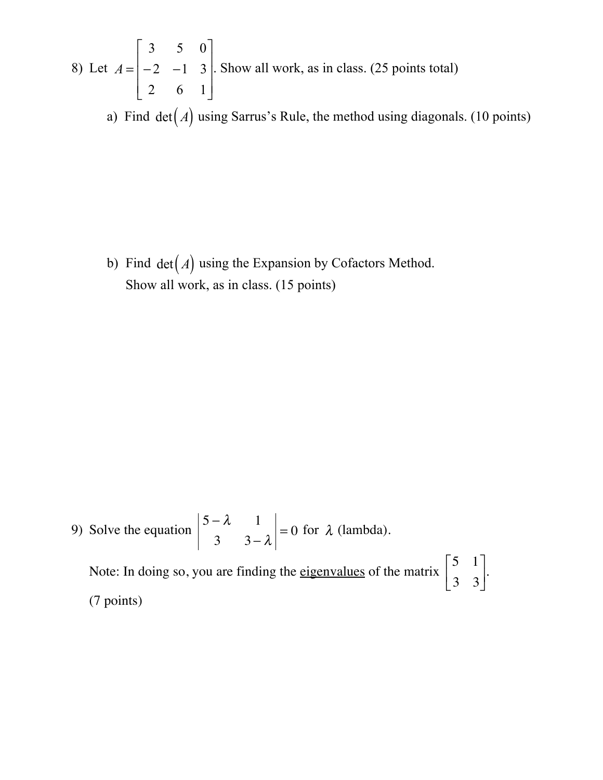8) Let  $A = \begin{vmatrix} -2 & -1 & 3 \end{vmatrix}$ . Show all work, as in class. (25 points total) 3 5 0  $-2$   $-1$  3 2 6 1  $\mathsf{L}$ ⎣  $\mathsf{I}$  $\mathsf{I}$  $\mathsf{L}$  $\overline{\phantom{a}}$ ⎦  $\overline{\phantom{a}}$  $\overline{\phantom{a}}$  $\overline{\phantom{a}}$ 

a) Find  $det(A)$  using Sarrus's Rule, the method using diagonals. (10 points)

b) Find  $det(A)$  using the Expansion by Cofactors Method. Show all work, as in class. (15 points)

9) Solve the equation 
$$
\begin{vmatrix} 5-\lambda & 1 \\ 3 & 3-\lambda \end{vmatrix} = 0
$$
 for  $\lambda$  (lambda).

Note: In doing so, you are finding the eigenvalues of the matrix  $\begin{bmatrix} 1 & 1 \\ 0 & 0 \end{bmatrix}$ . (7 points) 5 1 3 3  $\mathsf{L}$ ⎣  $\begin{vmatrix} 5 & 1 \\ 3 & 3 \end{vmatrix}$ ⎦  $\overline{\phantom{a}}$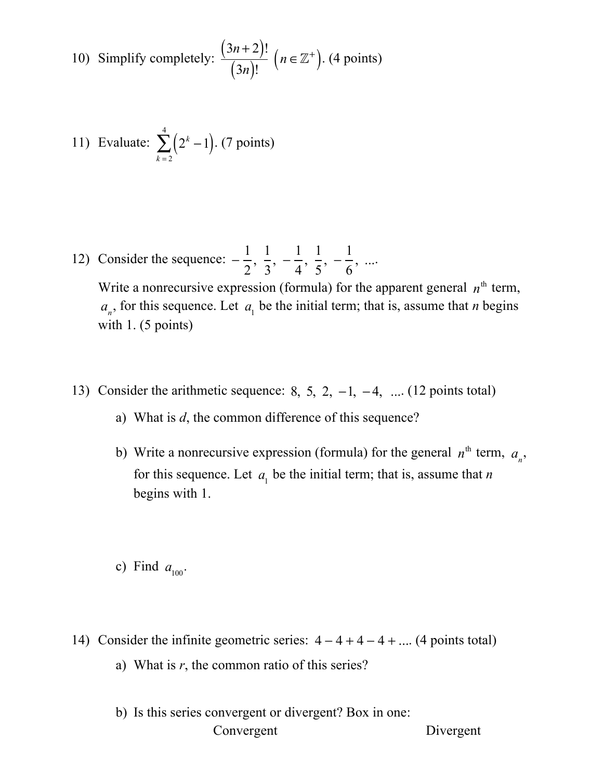10) Simplify completely: 
$$
\frac{(3n+2)!}{(3n)!}
$$
  $(n \in \mathbb{Z}^+)$ . (4 points)

11) Evaluate: 
$$
\sum_{k=2}^{4} (2^{k} - 1)
$$
. (7 points)

12) Consider the sequence:  $-\frac{1}{2}, \frac{1}{2}, -\frac{1}{4}, \frac{1}{5}, -\frac{1}{6}, ...$ 2  $\frac{1}{2}$ 3  $, -\frac{1}{4}$ 4  $\frac{1}{\sqrt{2}}$ 5  $, -\frac{1}{6}$ 6 , ...

Write a nonrecursive expression (formula) for the apparent general  $n<sup>th</sup>$  term,  $a_n$ , for this sequence. Let  $a_1$  be the initial term; that is, assume that *n* begins with 1. (5 points)

- 13) Consider the arithmetic sequence: 8, 5, 2, -1, -4, ... (12 points total)
	- a) What is *d*, the common difference of this sequence?
	- b) Write a nonrecursive expression (formula) for the general  $n^{\text{th}}$  term,  $a_n$ , for this sequence. Let  $a_1$  be the initial term; that is, assume that *n* begins with 1.
	- c) Find  $a_{100}$ .
- 14) Consider the infinite geometric series:  $4-4+4-4+...$  (4 points total) a) What is  $r$ , the common ratio of this series?
	- b) Is this series convergent or divergent? Box in one: Convergent Divergent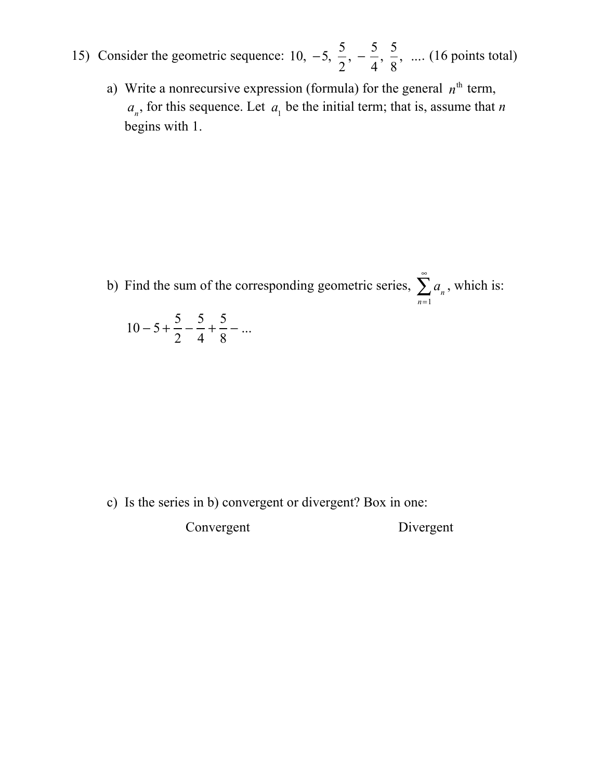- 15) Consider the geometric sequence: 10,  $-5$ ,  $\frac{5}{2}$ ,  $-\frac{5}{4}$ ,  $\frac{5}{8}$ , ... (16 points total) 2  $, -\frac{5}{4}$ 4  $\frac{5}{1}$ 8 , ...
	- a) Write a nonrecursive expression (formula) for the general  $n<sup>th</sup>$  term,  $a_n$ , for this sequence. Let  $a_1$  be the initial term; that is, assume that *n* begins with 1.

b) Find the sum of the corresponding geometric series,  $\sum a_n$ , which is: *n*=1  $\sum^{\infty}$  $10 - 5 +$  $\frac{5}{2} - \frac{5}{4}$ + 5  $\frac{3}{8}$  – ...

c) Is the series in b) convergent or divergent? Box in one:

Convergent Divergent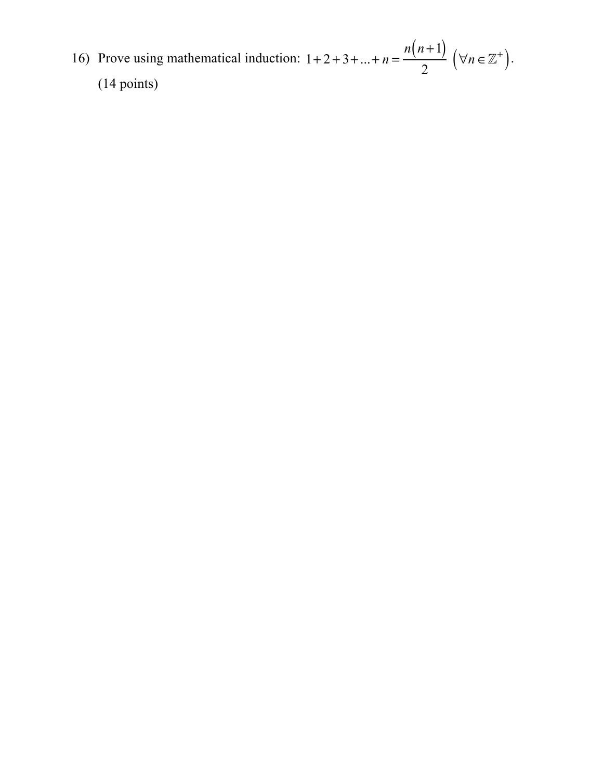16) Prove using mathematical induction:  $1+2+3+...+n=\frac{n(n+1)}{2}$   $(\forall n \in \mathbb{Z}^+).$ (14 points)  $\frac{n+1}{2}$   $(\forall n \in \mathbb{Z}^+)$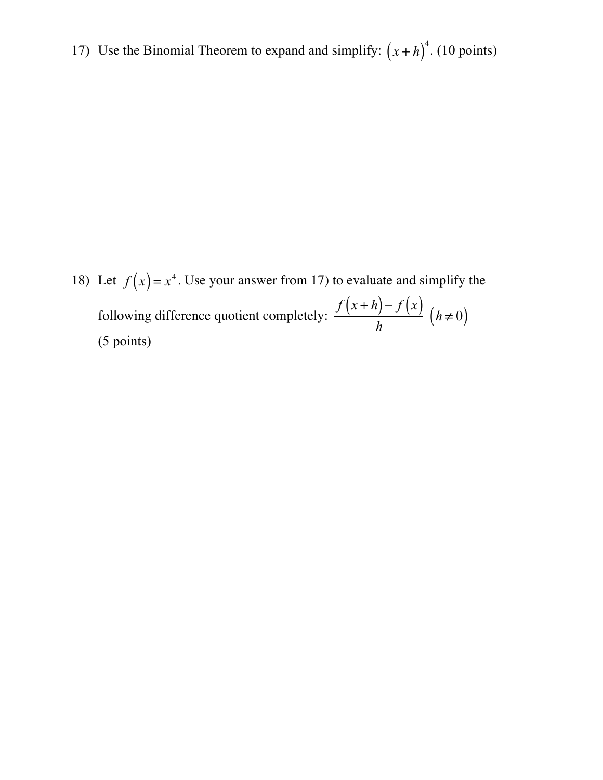17) Use the Binomial Theorem to expand and simplify:  $(x+h)^4$ . (10 points)

18) Let  $f(x) = x^4$ . Use your answer from 17) to evaluate and simplify the following difference quotient completely: (5 points)  $f(x+h)-f(x)$  $\frac{h}{h}$   $(h \neq 0)$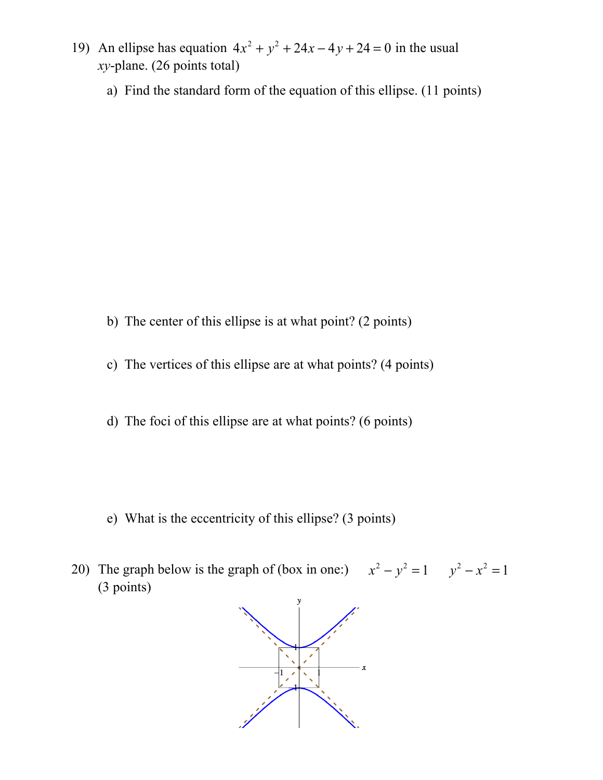- 19) An ellipse has equation  $4x^2 + y^2 + 24x 4y + 24 = 0$  in the usual *xy*-plane. (26 points total)
	- a) Find the standard form of the equation of this ellipse. (11 points)

- b) The center of this ellipse is at what point? (2 points)
- c) The vertices of this ellipse are at what points? (4 points)
- d) The foci of this ellipse are at what points? (6 points)

- e) What is the eccentricity of this ellipse? (3 points)
- 20) The graph below is the graph of (box in one:)  $x^2 y^2 = 1$   $y^2 x^2 = 1$ (3 points)